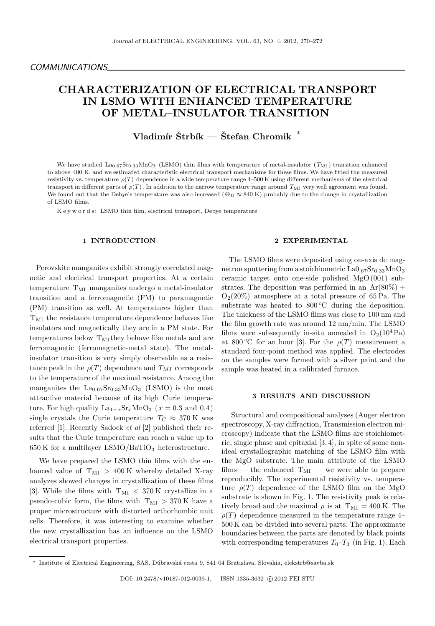# CHARACTERIZATION OF ELECTRICAL TRANSPORT IN LSMO WITH ENHANCED TEMPERATURE OF METAL–INSULATOR TRANSITION

# Vladimír Štrbík — Štefan Chromik  $^*$

We have studied  $\text{La}_{0.67}\text{Sr}_{0.33}\text{MnO}_3$  (LSMO) thin films with temperature of metal-insulator  $(T_{\text{MI}})$  transition enhanced to above 400 K, and we estimated characteristic electrical transport mechanisms for these films. We have fitted the measured resistivity vs. temperature  $\rho(T)$  dependence in a wide temperature range 4–500 K using different mechanisms of the electrical transport in different parts of  $\rho(T)$ . In addition to the narrow temperature range around  $T_{\rm MI}$  very well agreement was found. We found out that the Debye's temperature was also increased ( $\Theta_D \approx 840$  K) probably due to the change in crystallization of LSMO films.

K e y w o r d s: LSMO thin film, electrical transport, Debye temperature

# 1 INTRODUCTION

Perovskite manganites exhibit strongly correlated magnetic and electrical transport properties. At a certain temperature  $T_{\text{MI}}$  manganites undergo a metal-insulator transition and a ferromagnetic (FM) to paramagnetic (PM) transition as well. At temperatures higher than  $\rm T_{MI}$  the resistance temperature dependence behaves like insulators and magnetically they are in a PM state. For temperatures below  $T_{\text{MI}}$  they behave like metals and are ferromagnetic (ferromagnetic-metal state). The metalinsulator transition is very simply observable as a resistance peak in the  $\rho(T)$  dependence and  $T_{MI}$  corresponds to the temperature of the maximal resistance. Among the manganites the  $La_{0.67}Sr_{0.33}MnO_3$  (LSMO) is the most attractive material because of its high Curie temperature. For high quality  $\text{La}_{1-x}\text{Sr}_x\text{MnO}_3$  ( $x = 0.3$  and 0.4) single crystals the Curie temperature  $T_C \approx 370 \text{ K}$  was referred [1]. Recently Sadock et al [2] published their results that the Curie temperature can reach a value up to 650 K for a multilayer LSMO/BaTiO<sub>3</sub> heterostructure.

We have prepared the LSMO thin films with the enhanced value of  $T_{\text{MI}} > 400$  K whereby detailed X-ray analyzes showed changes in crystallization of these films [3]. While the films with  $T_{\text{MI}} < 370 \text{ K}$  crystallize in a pseudo-cubic form, the films with  $T_{\text{MI}} > 370$  K have a proper microstructure with distorted orthorhombic unit cells. Therefore, it was interesting to examine whether the new crystallization has an influence on the LSMO electrical transport properties.

# 2 EXPERIMENTAL

The LSMO films were deposited using on-axis dc magnetron sputtering from a stoichiometric  $La0.67Sr_{0.33}MnO<sub>3</sub>$ ceramic target onto one-side polished MgO (001) substrates. The deposition was performed in an  $Ar(80\%) +$  $O<sub>2</sub>(20%)$  atmosphere at a total pressure of 65 Pa. The substrate was heated to  $800\degree\text{C}$  during the deposition. The thickness of the LSMO films was close to 100 nm and the film growth rate was around 12 nm/min. The LSMO films were subsequently in-situ annealed in  $O_2(10^4 \text{Pa})$ at 800 °C for an hour [3]. For the  $\rho(T)$  measurement a standard four-point method was applied. The electrodes on the samples were formed with a silver paint and the sample was heated in a calibrated furnace.

#### 3 RESULTS AND DISCUSSION

Structural and compositional analyses (Auger electron spectroscopy, X-ray diffraction, Transmission electron microscopy) indicate that the LSMO films are stoichiometric, single phase and epitaxial [3, 4], in spite of some nonideal crystallographic matching of the LSMO film with the MgO substrate. The main attribute of the LSMO films — the enhanced  $T_{\text{MI}}$  — we were able to prepare reproducibly. The experimental resistivity vs. temperature  $\rho(T)$  dependence of the LSMO film on the MgO substrate is shown in Fig. 1. The resistivity peak is relatively broad and the maximal  $\rho$  is at  $T_{\text{MI}} = 400 \text{ K}$ . The  $\rho(T)$  dependence measured in the temperature range 4– 500 K can be divided into several parts. The approximate boundaries between the parts are denoted by black points with corresponding temperatures  $T_0-T_3$  (in Fig. 1). Each

<sup>∗</sup> Institute of Electrical Engineering, SAS, D´ubravsk´a cesta 9, 841 04 Bratislava, Slovakia, elekstrb@savba.sk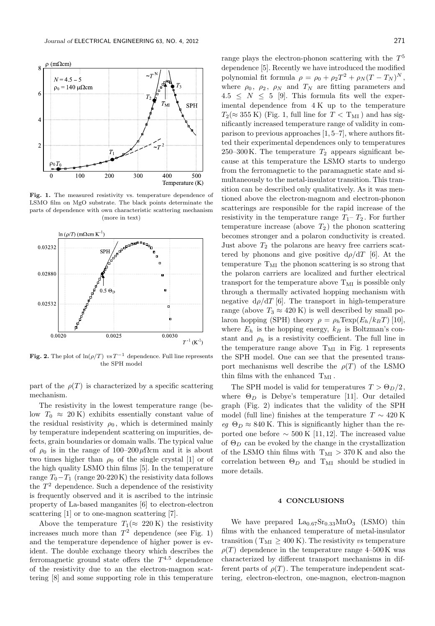

Fig. 1. The measured resistivity vs. temperature dependence of LSMO film on MgO substrate. The black points determinate the parts of dependence with own characteristic scattering mechanism (more in text)



Fig. 2. The plot of  $\ln(\rho/T)$  vs T<sup>-1</sup> dependence. Full line represents the SPH model

part of the  $\rho(T)$  is characterized by a specific scattering mechanism.

The resistivity in the lowest temperature range (below  $T_0 \approx 20 \text{ K}$  exhibits essentially constant value of the residual resistivity  $\rho_0$ , which is determined mainly by temperature independent scattering on impurities, defects, grain boundaries or domain walls. The typical value of  $\rho_0$  is in the range of 100–200 $\mu \Omega$ cm and it is about two times higher than  $\rho_0$  of the single crystal [1] or of the high quality LSMO thin films [5]. In the temperature range  $T_0-T_1$  (range 20-220 K) the resistivity data follows the  $T<sup>2</sup>$  dependence. Such a dependence of the resistivity is frequently observed and it is ascribed to the intrinsic property of La-based manganites [6] to electron-electron scattering [1] or to one-magnon scattering [7].

Above the temperature  $T_1(\approx 220 \text{ K})$  the resistivity increases much more than  $T^2$  dependence (see Fig. 1) and the temperature dependence of higher power is evident. The double exchange theory which describes the ferromagnetic ground state offers the  $T^{4.5}$  dependence of the resistivity due to an the electron-magnon scattering [8] and some supporting role in this temperature

range plays the electron-phonon scattering with the  $T^5$ dependence [5]. Recently we have introduced the modified polynomial fit formula  $\rho = \rho_0 + \rho_2 T^2 + \rho_N (T - T_N)^N$ , where  $\rho_0$ ,  $\rho_2$ ,  $\rho_N$  and  $T_N$  are fitting parameters and  $4.5 \leq N \leq 5$  [9]. This formula fits well the experimental dependence from 4 K up to the temperature  $T_2(\approx 355 \text{ K})$  (Fig. 1, full line for  $T < T_{\text{MI}}$ ) and has significantly increased temperature range of validity in comparison to previous approaches [1, 5–7], where authors fitted their experimental dependences only to temperatures 250–300 K. The temperature  $T_2$  appears significant because at this temperature the LSMO starts to undergo from the ferromagnetic to the paramagnetic state and simultaneously to the metal-insulator transition. This transition can be described only qualitatively. As it was mentioned above the electron-magnom and electron-phonon scatterings are responsible for the rapid increase of the resistivity in the temperature range  $T_1$ –  $T_2$ . For further temperature increase (above  $T_2$ ) the phonon scattering becomes stronger and a polaron conductivity is created. Just above  $T_2$  the polarons are heavy free carriers scattered by phonons and give positive  $d\rho/dT$  [6]. At the temperature  $T_{\text{MI}}$  the phonon scattering is so strong that the polaron carriers are localized and further electrical transport for the temperature above  $T_{\text{MI}}$  is possible only through a thermally activated hopping mechanism with negative  $d\rho/dT$  [6]. The transport in high-temperature range (above  $T_3 \approx 420 \text{ K}$ ) is well described by small polaron hopping (SPH) theory  $\rho = \rho_h \text{Texp}(E_h/k_B T)$  [10], where  $E_h$  is the hopping energy,  $k_B$  is Boltzman's constant and  $\rho_h$  is a resistivity coefficient. The full line in the temperature range above  $T_{\text{MI}}$  in Fig. 1 represents the SPH model. One can see that the presented transport mechanisms well describe the  $\rho(T)$  of the LSMO thin films with the enhanced  $T_{\text{MI}}$ .

The SPH model is valid for temperatures  $T > \Theta_D/2$ , where  $\Theta_D$  is Debye's temperature [11]. Our detailed graph (Fig. 2) indicates that the validity of the SPH model (full line) finishes at the temperature  $T \sim 420 \text{ K}$ eg  $\Theta_D \approx 840$  K. This is significantly higher than the reported one before  $\sim$  500 K [11, 12]. The increased value of  $\Theta_D$  can be evoked by the change in the crystallization of the LSMO thin films with  $T_{\text{MI}} > 370$  K and also the correlation between  $\Theta_D$  and T<sub>MI</sub> should be studied in more details.

### 4 CONCLUSIONS

We have prepared  $La_{0.67}Sr_{0.33}MnO_3$  (LSMO) thin films with the enhanced temperature of metal-insulator transition ( $T_{\text{MI}} \geq 400 \text{ K}$ ). The resistivity vs temperature  $\rho(T)$  dependence in the temperature range 4–500 K was characterized by different transport mechanisms in different parts of  $\rho(T)$ . The temperature independent scattering, electron-electron, one-magnon, electron-magnon